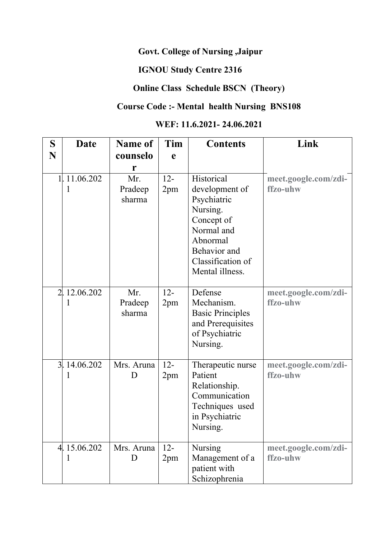#### **Govt. College of Nursing ,Jaipur**

# **IGNOU Study Centre 2316**

### **Online Class Schedule BSCN (Theory)**

### **Course Code :- Mental health Nursing BNS108**

## **WEF: 11.6.2021- 24.06.2021**

| S | Date              | <b>Name of</b>           | Tim           | <b>Contents</b>                                                                                                                                         | Link                             |
|---|-------------------|--------------------------|---------------|---------------------------------------------------------------------------------------------------------------------------------------------------------|----------------------------------|
| N |                   | counselo                 | $\mathbf e$   |                                                                                                                                                         |                                  |
|   |                   | r                        |               |                                                                                                                                                         |                                  |
|   | 1.1.06.202<br>1   | Mr.<br>Pradeep<br>sharma | $12 -$<br>2pm | Historical<br>development of<br>Psychiatric<br>Nursing.<br>Concept of<br>Normal and<br>Abnormal<br>Behavior and<br>Classification of<br>Mental illness. | meet.google.com/zdi-<br>ffzo-uhw |
|   | 2. 12.06.202<br>1 | Mr.<br>Pradeep<br>sharma | $12 -$<br>2pm | Defense<br>Mechanism.<br><b>Basic Principles</b><br>and Prerequisites<br>of Psychiatric<br>Nursing.                                                     | meet.google.com/zdi-<br>ffzo-uhw |
|   | 3. 14.06.202<br>1 | Mrs. Aruna<br>D          | $12 -$<br>2pm | Therapeutic nurse<br>Patient<br>Relationship.<br>Communication<br>Techniques used<br>in Psychiatric<br>Nursing.                                         | meet.google.com/zdi-<br>ffzo-uhw |
|   | 4.15.06.202<br>1  | Mrs. Aruna<br>D          | $12 -$<br>2pm | <b>Nursing</b><br>Management of a<br>patient with<br>Schizophrenia                                                                                      | meet.google.com/zdi-<br>ffzo-uhw |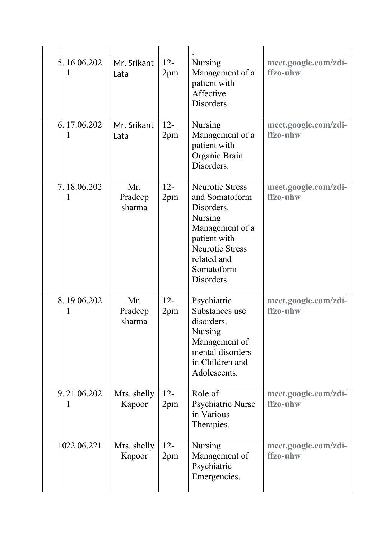| 5. 16.06.202<br>I        | Mr. Srikant<br>Lata      | $12 -$<br>2pm | <b>Nursing</b><br>Management of a<br>patient with<br>Affective<br>Disorders.                                                                                                     | meet.google.com/zdi-<br>ffzo-uhw |
|--------------------------|--------------------------|---------------|----------------------------------------------------------------------------------------------------------------------------------------------------------------------------------|----------------------------------|
| 6.17.06.202<br>I         | Mr. Srikant<br>Lata      | $12 -$<br>2pm | Nursing<br>Management of a<br>patient with<br>Organic Brain<br>Disorders.                                                                                                        | meet.google.com/zdi-<br>ffzo-uhw |
| 7. 18.06.202<br>1        | Mr.<br>Pradeep<br>sharma | $12 -$<br>2pm | <b>Neurotic Stress</b><br>and Somatoform<br>Disorders.<br><b>Nursing</b><br>Management of a<br>patient with<br><b>Neurotic Stress</b><br>related and<br>Somatoform<br>Disorders. | meet.google.com/zdi-<br>ffzo-uhw |
| 8. 19.06.202<br>1        | Mr.<br>Pradeep<br>sharma | $12 -$<br>2pm | Psychiatric<br>Substances use<br>disorders.<br>Nursing<br>Management of<br>mental disorders<br>in Children and<br>Adolescents.                                                   | meet.google.com/zdi-<br>ffzo-uhw |
| $9\sqrt{21.06.202}$<br>1 | Mrs. shelly<br>Kapoor    | $12 -$<br>2pm | Role of<br>Psychiatric Nurse<br>in Various<br>Therapies.                                                                                                                         | meet.google.com/zdi-<br>ffzo-uhw |
| 1022.06.221              | Mrs. shelly<br>Kapoor    | $12 -$<br>2pm | <b>Nursing</b><br>Management of<br>Psychiatric<br>Emergencies.                                                                                                                   | meet.google.com/zdi-<br>ffzo-uhw |